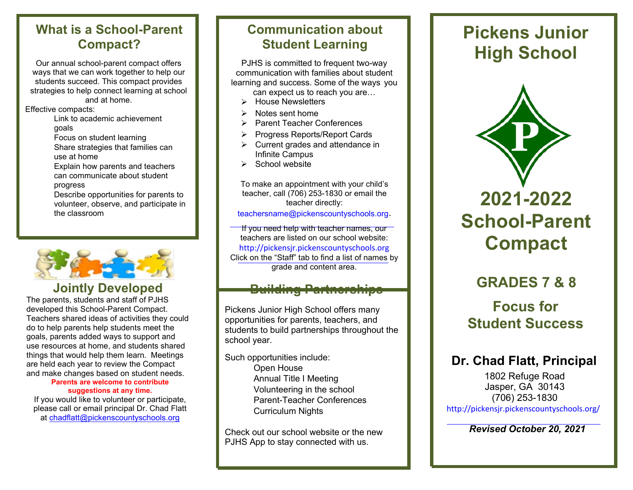### **What is a School-Parent Compact?**

Our annual school-parent compact offers ways that we can work together to help our students succeed. This compact provides strategies to help connect learning at school and at home.

Effective compacts:

- Link to academic achievement goals
- Focus on student learning
- Share strategies that families can use at home

Explain how parents and teachers can communicate about student progress

Describe opportunities for parents to volunteer, observe, and participate in the classroom



### **Jointly Developed**

The parents, students and staff of PJHS developed this School-Parent Compact. Teachers shared ideas of activities they could do to help parents help students meet the goals, parents added ways to support and use resources at home, and students shared things that would help them learn. Meetings are held each year to review the Compact and make changes based on student needs.

#### **Parents are welcome to contribute suggestions at any time.**

If you would like to volunteer or participate, please call or email principal Dr. Chad Flatt at [chadflatt@pickenscountyschools.org](mailto:chadflatt@pickenscountyschools.org)

### **Communication about Student Learning**

PJHS is committed to frequent two-way communication with families about student learning and success. Some of the ways you

- can expect us to reach you are…
- $\triangleright$  House Newsletters
- $\triangleright$  Notes sent home
- **▶ Parent Teacher Conferences**
- ▶ Progress Reports/Report Cards
- $\triangleright$  Current grades and attendance in Infinite Campus
- $\triangleright$  School website

To make an appointment with your child's teacher, call (706) 253-1830 or email the teacher directly:

[teachersname@pickenscountyschools.org](mailto:teachersname@pickenscountyschools.org)[.](mailto:teachersname@pickenscountyschools.org)

If you need help with teacher names, our teachers are listed on our school website: [http://pickensjr.pickenscountyschools.org](http://pickensjr.pickenscountyschools.org/) Click on the "Staff" tab to find a list of names by grade and content area.

### **Building Partnerships**

Pickens Junior High School offers many opportunities for parents, teachers, and students to build partnerships throughout the school year.

Such opportunities include: Open House Annual Title I Meeting Volunteering in the school Parent-Teacher Conferences Curriculum Nights

Check out our school website or the new PJHS App to stay connected with us.

# **Pickens Junior High School**



# **2021-2022 School-Parent Compact**

## **GRADES 7 & 8**

### **Focus for Student Success**

### **Dr. Chad Flatt, Principal**

1802 Refuge Road Jasper, GA 30143 (706) 253-1830 <http://pickensjr.pickenscountyschools.org/>

*Revised October 20, 2021*